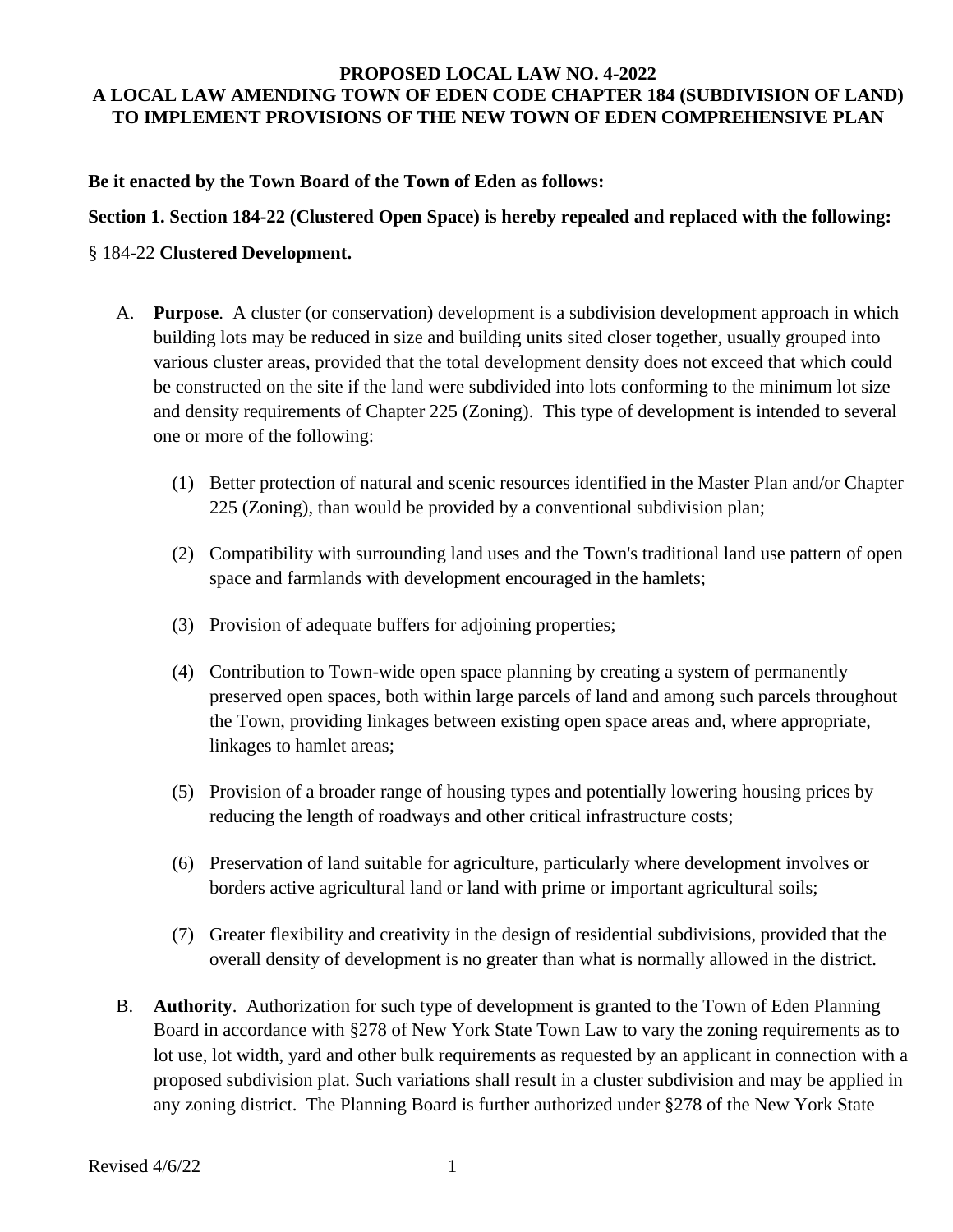### **PROPOSED LOCAL LAW NO. 4-2022 A LOCAL LAW AMENDING TOWN OF EDEN CODE CHAPTER 184 (SUBDIVISION OF LAND) TO IMPLEMENT PROVISIONS OF THE NEW TOWN OF EDEN COMPREHENSIVE PLAN**

**Be it enacted by the Town Board of the Town of Eden as follows:**

**Section 1. Section 184-22 (Clustered Open Space) is hereby repealed and replaced with the following:**

### § 184-22 **Clustered Development.**

- A. **Purpose**. A cluster (or conservation) development is a subdivision development approach in which building lots may be reduced in size and building units sited closer together, usually grouped into various cluster areas, provided that the total development density does not exceed that which could be constructed on the site if the land were subdivided into lots conforming to the minimum lot size and density requirements of Chapter 225 (Zoning). This type of development is intended to several one or more of the following:
	- (1) Better protection of natural and scenic resources identified in the Master Plan and/or Chapter 225 (Zoning), than would be provided by a conventional subdivision plan;
	- (2) Compatibility with surrounding land uses and the Town's traditional land use pattern of open space and farmlands with development encouraged in the hamlets;
	- (3) Provision of adequate buffers for adjoining properties;
	- (4) Contribution to Town-wide open space planning by creating a system of permanently preserved open spaces, both within large parcels of land and among such parcels throughout the Town, providing linkages between existing open space areas and, where appropriate, linkages to hamlet areas;
	- (5) Provision of a broader range of housing types and potentially lowering housing prices by reducing the length of roadways and other critical infrastructure costs;
	- (6) Preservation of land suitable for agriculture, particularly where development involves or borders active agricultural land or land with prime or important agricultural soils;
	- (7) Greater flexibility and creativity in the design of residential subdivisions, provided that the overall density of development is no greater than what is normally allowed in the district.
- B. **Authority**. Authorization for such type of development is granted to the Town of Eden Planning Board in accordance with §278 of New York State Town Law to vary the zoning requirements as to lot use, lot width, yard and other bulk requirements as requested by an applicant in connection with a proposed subdivision plat. Such variations shall result in a cluster subdivision and may be applied in any zoning district. The Planning Board is further authorized under §278 of the New York State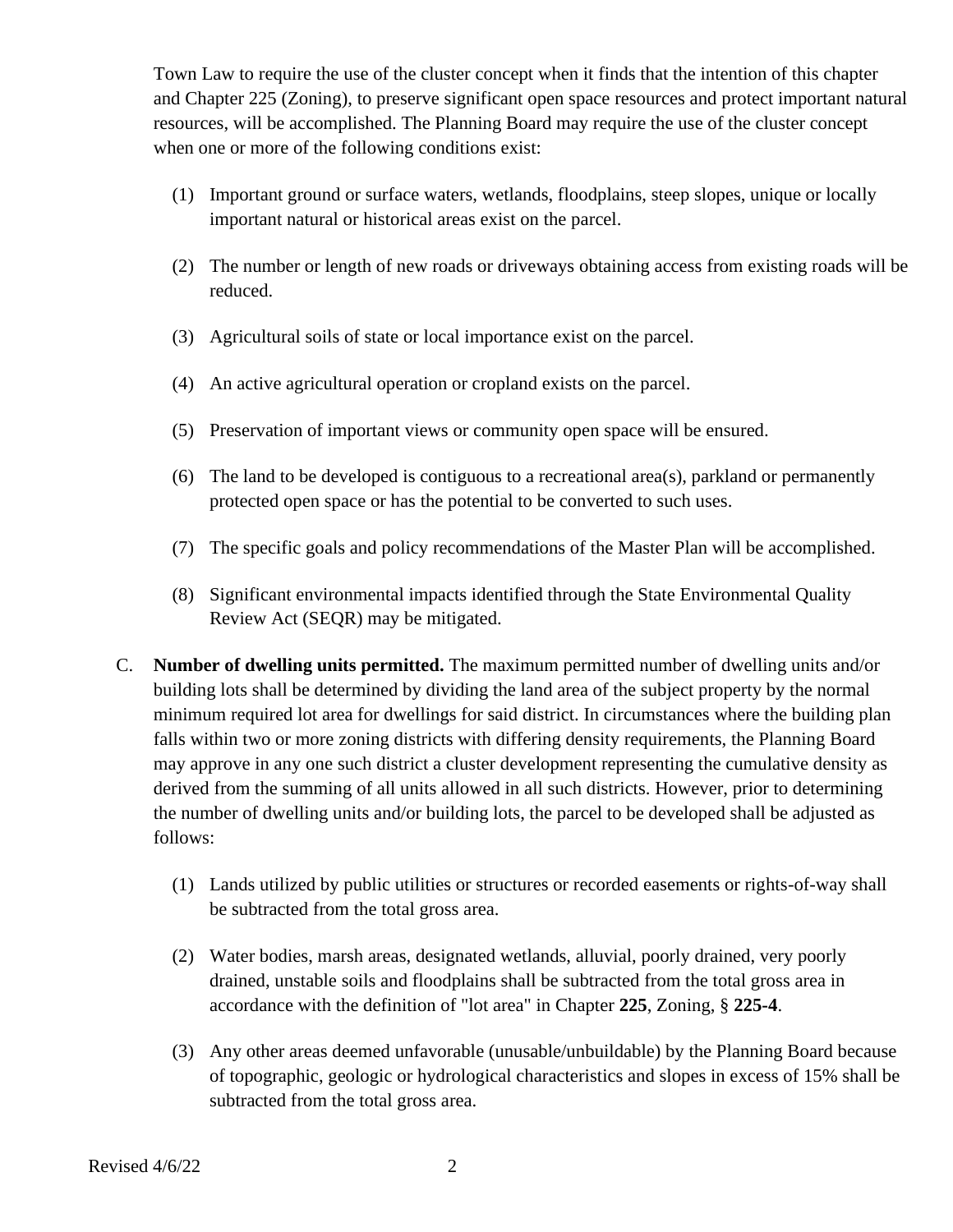Town Law to require the use of the cluster concept when it finds that the intention of this chapter and Chapter 225 (Zoning), to preserve significant open space resources and protect important natural resources, will be accomplished. The Planning Board may require the use of the cluster concept when one or more of the following conditions exist:

- (1) Important ground or surface waters, wetlands, floodplains, steep slopes, unique or locally important natural or historical areas exist on the parcel.
- (2) The number or length of new roads or driveways obtaining access from existing roads will be reduced.
- (3) Agricultural soils of state or local importance exist on the parcel.
- (4) An active agricultural operation or cropland exists on the parcel.
- (5) Preservation of important views or community open space will be ensured.
- (6) The land to be developed is contiguous to a recreational area(s), parkland or permanently protected open space or has the potential to be converted to such uses.
- (7) The specific goals and policy recommendations of the Master Plan will be accomplished.
- (8) Significant environmental impacts identified through the State Environmental Quality Review Act (SEQR) may be mitigated.
- C. **Number of dwelling units permitted.** The maximum permitted number of dwelling units and/or building lots shall be determined by dividing the land area of the subject property by the normal minimum required lot area for dwellings for said district. In circumstances where the building plan falls within two or more zoning districts with differing density requirements, the Planning Board may approve in any one such district a cluster development representing the cumulative density as derived from the summing of all units allowed in all such districts. However, prior to determining the number of dwelling units and/or building lots, the parcel to be developed shall be adjusted as follows:
	- (1) Lands utilized by public utilities or structures or recorded easements or rights-of-way shall be subtracted from the total gross area.
	- (2) Water bodies, marsh areas, designated wetlands, alluvial, poorly drained, very poorly drained, unstable soils and floodplains shall be subtracted from the total gross area in accordance with the definition of "lot area" in Chapter **225**, Zoning, § **225-4**.
	- (3) Any other areas deemed unfavorable (unusable/unbuildable) by the Planning Board because of topographic, geologic or hydrological characteristics and slopes in excess of 15% shall be subtracted from the total gross area.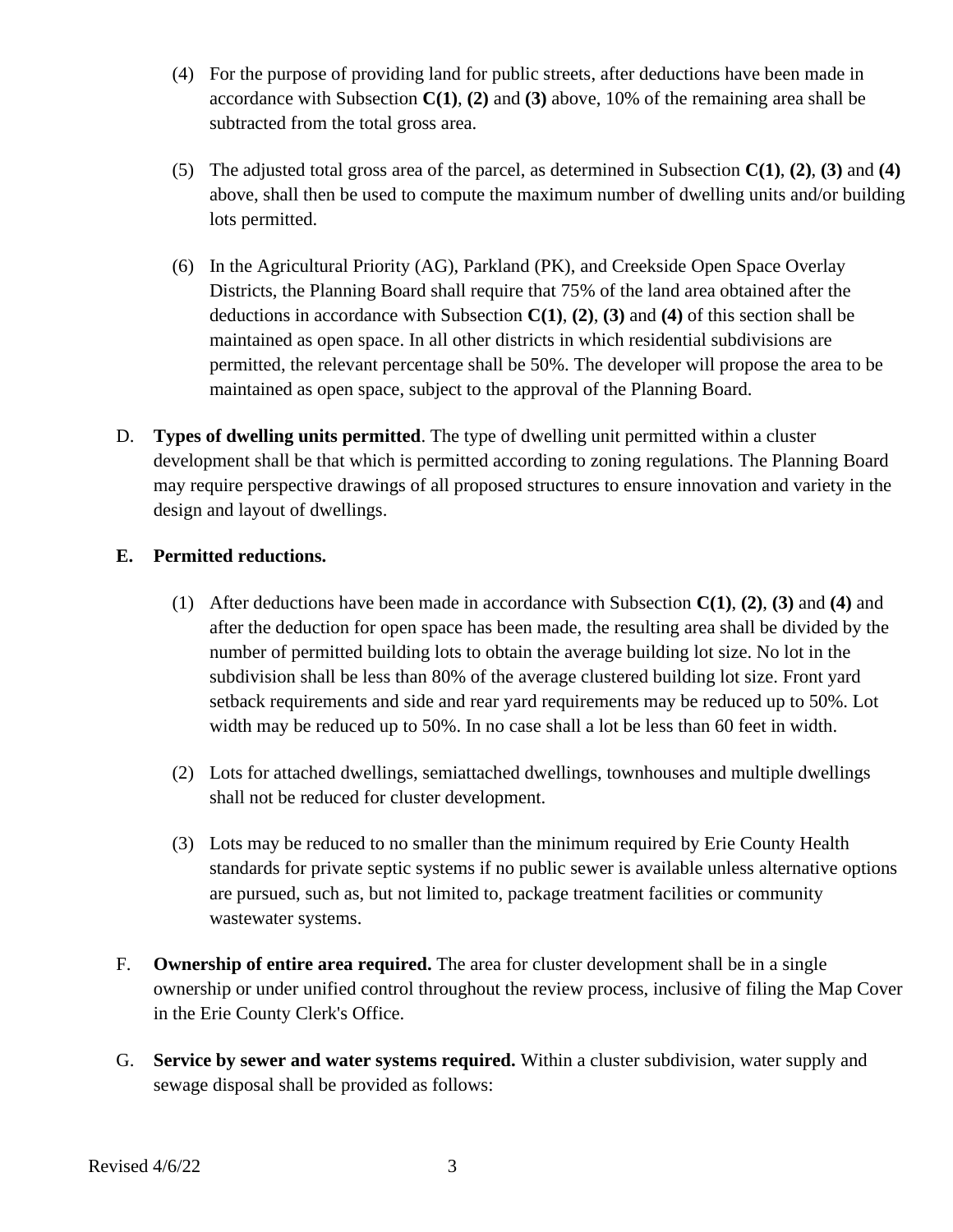- (4) For the purpose of providing land for public streets, after deductions have been made in accordance with Subsection **C(1)**, **(2)** and **(3)** above, 10% of the remaining area shall be subtracted from the total gross area.
- (5) The adjusted total gross area of the parcel, as determined in Subsection **C(1)**, **(2)**, **(3)** and **(4)** above, shall then be used to compute the maximum number of dwelling units and/or building lots permitted.
- (6) In the Agricultural Priority (AG), Parkland (PK), and Creekside Open Space Overlay Districts, the Planning Board shall require that 75% of the land area obtained after the deductions in accordance with Subsection **C(1)**, **(2)**, **(3)** and **(4)** of this section shall be maintained as open space. In all other districts in which residential subdivisions are permitted, the relevant percentage shall be 50%. The developer will propose the area to be maintained as open space, subject to the approval of the Planning Board.
- D. **Types of dwelling units permitted**. The type of dwelling unit permitted within a cluster development shall be that which is permitted according to zoning regulations. The Planning Board may require perspective drawings of all proposed structures to ensure innovation and variety in the design and layout of dwellings.

# **E. Permitted reductions.**

- (1) After deductions have been made in accordance with Subsection **C(1)**, **(2)**, **(3)** and **(4)** and after the deduction for open space has been made, the resulting area shall be divided by the number of permitted building lots to obtain the average building lot size. No lot in the subdivision shall be less than 80% of the average clustered building lot size. Front yard setback requirements and side and rear yard requirements may be reduced up to 50%. Lot width may be reduced up to 50%. In no case shall a lot be less than 60 feet in width.
- (2) Lots for attached dwellings, semiattached dwellings, townhouses and multiple dwellings shall not be reduced for cluster development.
- (3) Lots may be reduced to no smaller than the minimum required by Erie County Health standards for private septic systems if no public sewer is available unless alternative options are pursued, such as, but not limited to, package treatment facilities or community wastewater systems.
- F. **Ownership of entire area required.** The area for cluster development shall be in a single ownership or under unified control throughout the review process, inclusive of filing the Map Cover in the Erie County Clerk's Office.
- G. **Service by sewer and water systems required.** Within a cluster subdivision, water supply and sewage disposal shall be provided as follows: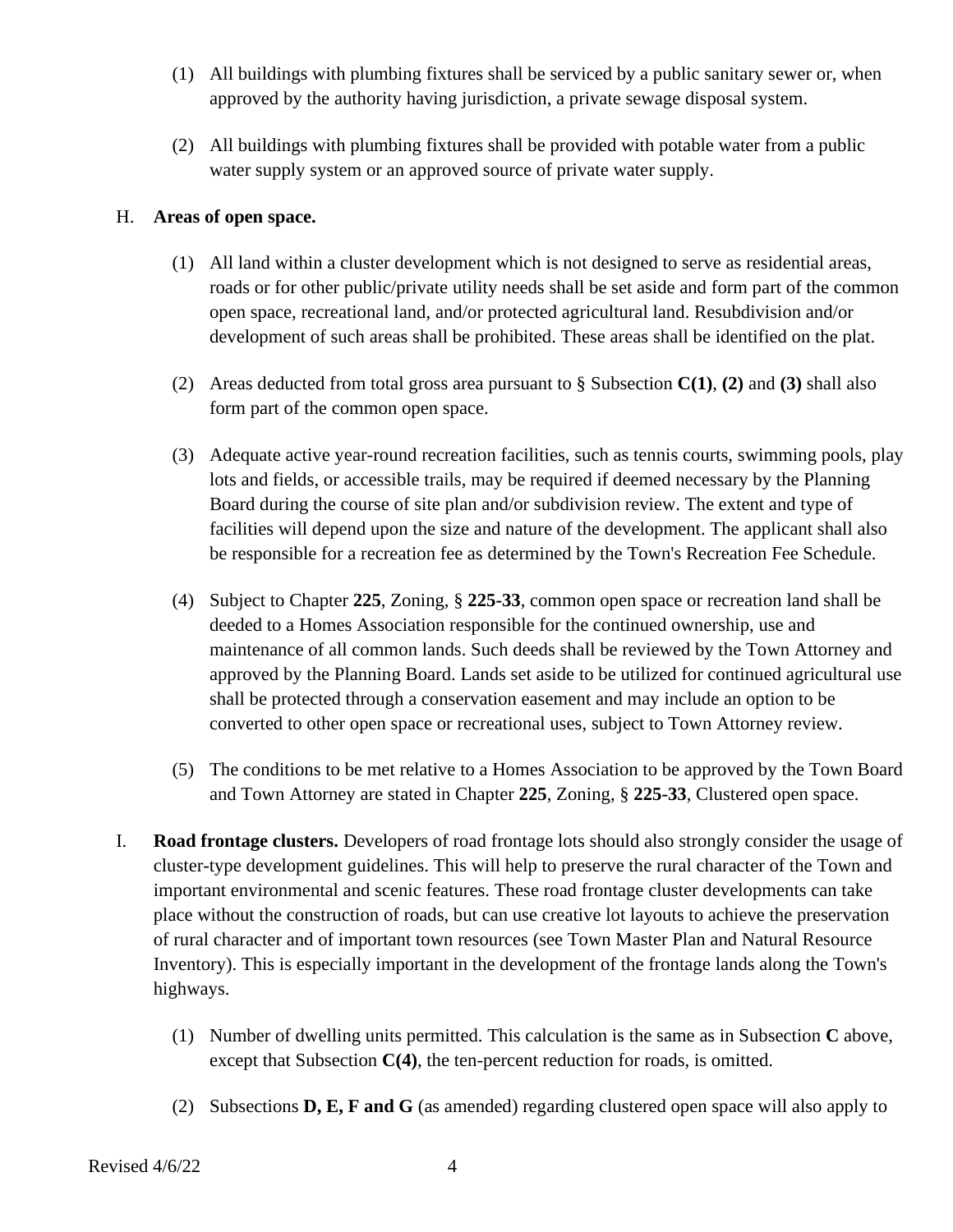- (1) All buildings with plumbing fixtures shall be serviced by a public sanitary sewer or, when approved by the authority having jurisdiction, a private sewage disposal system.
- (2) All buildings with plumbing fixtures shall be provided with potable water from a public water supply system or an approved source of private water supply.

## H. **Areas of open space.**

- (1) All land within a cluster development which is not designed to serve as residential areas, roads or for other public/private utility needs shall be set aside and form part of the common open space, recreational land, and/or protected agricultural land. Resubdivision and/or development of such areas shall be prohibited. These areas shall be identified on the plat.
- (2) Areas deducted from total gross area pursuant to § Subsection **C(1)**, **(2)** and **(3)** shall also form part of the common open space.
- (3) Adequate active year-round recreation facilities, such as tennis courts, swimming pools, play lots and fields, or accessible trails, may be required if deemed necessary by the Planning Board during the course of site plan and/or subdivision review. The extent and type of facilities will depend upon the size and nature of the development. The applicant shall also be responsible for a recreation fee as determined by the Town's Recreation Fee Schedule.
- (4) Subject to Chapter **225**, Zoning, § **225-33**, common open space or recreation land shall be deeded to a Homes Association responsible for the continued ownership, use and maintenance of all common lands. Such deeds shall be reviewed by the Town Attorney and approved by the Planning Board. Lands set aside to be utilized for continued agricultural use shall be protected through a conservation easement and may include an option to be converted to other open space or recreational uses, subject to Town Attorney review.
- (5) The conditions to be met relative to a Homes Association to be approved by the Town Board and Town Attorney are stated in Chapter **225**, Zoning, § **225-33**, Clustered open space.
- I. **Road frontage clusters.** Developers of road frontage lots should also strongly consider the usage of cluster-type development guidelines. This will help to preserve the rural character of the Town and important environmental and scenic features. These road frontage cluster developments can take place without the construction of roads, but can use creative lot layouts to achieve the preservation of rural character and of important town resources (see Town Master Plan and Natural Resource Inventory). This is especially important in the development of the frontage lands along the Town's highways.
	- (1) Number of dwelling units permitted. This calculation is the same as in Subsection **C** above, except that Subsection **C(4)**, the ten-percent reduction for roads, is omitted.
	- (2) Subsections **D, E, F and G** (as amended) regarding clustered open space will also apply to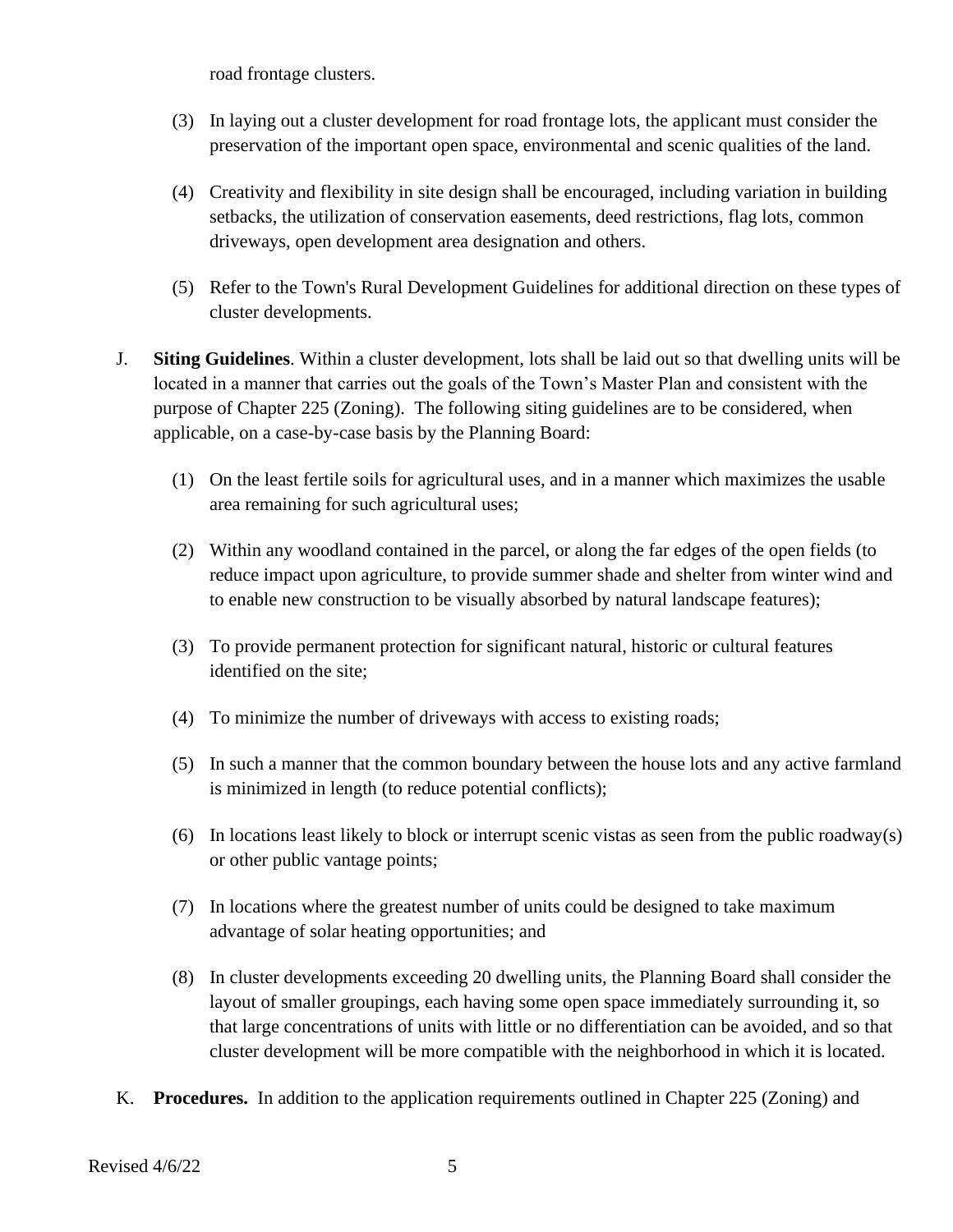road frontage clusters.

- (3) In laying out a cluster development for road frontage lots, the applicant must consider the preservation of the important open space, environmental and scenic qualities of the land.
- (4) Creativity and flexibility in site design shall be encouraged, including variation in building setbacks, the utilization of conservation easements, deed restrictions, flag lots, common driveways, open development area designation and others.
- (5) Refer to the Town's Rural Development Guidelines for additional direction on these types of cluster developments.
- J. **Siting Guidelines**. Within a cluster development, lots shall be laid out so that dwelling units will be located in a manner that carries out the goals of the Town's Master Plan and consistent with the purpose of Chapter 225 (Zoning). The following siting guidelines are to be considered, when applicable, on a case-by-case basis by the Planning Board:
	- (1) On the least fertile soils for agricultural uses, and in a manner which maximizes the usable area remaining for such agricultural uses;
	- (2) Within any woodland contained in the parcel, or along the far edges of the open fields (to reduce impact upon agriculture, to provide summer shade and shelter from winter wind and to enable new construction to be visually absorbed by natural landscape features);
	- (3) To provide permanent protection for significant natural, historic or cultural features identified on the site;
	- (4) To minimize the number of driveways with access to existing roads;
	- (5) In such a manner that the common boundary between the house lots and any active farmland is minimized in length (to reduce potential conflicts);
	- (6) In locations least likely to block or interrupt scenic vistas as seen from the public roadway(s) or other public vantage points;
	- (7) In locations where the greatest number of units could be designed to take maximum advantage of solar heating opportunities; and
	- (8) In cluster developments exceeding 20 dwelling units, the Planning Board shall consider the layout of smaller groupings, each having some open space immediately surrounding it, so that large concentrations of units with little or no differentiation can be avoided, and so that cluster development will be more compatible with the neighborhood in which it is located.
- K. **Procedures.** In addition to the application requirements outlined in Chapter 225 (Zoning) and